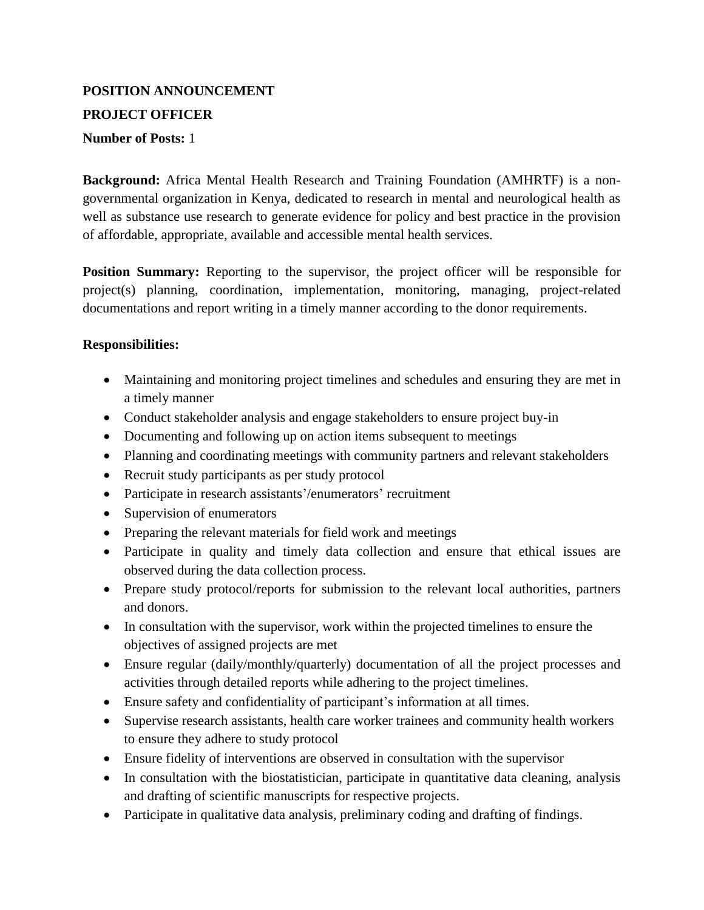# **POSITION ANNOUNCEMENT PROJECT OFFICER**

## **Number of Posts:** 1

**Background:** Africa Mental Health Research and Training Foundation (AMHRTF) is a nongovernmental organization in Kenya, dedicated to research in mental and neurological health as well as substance use research to generate evidence for policy and best practice in the provision of affordable, appropriate, available and accessible mental health services.

**Position Summary:** Reporting to the supervisor, the project officer will be responsible for project(s) planning, coordination, implementation, monitoring, managing, project-related documentations and report writing in a timely manner according to the donor requirements.

#### **Responsibilities:**

- Maintaining and monitoring project timelines and schedules and ensuring they are met in a timely manner
- Conduct stakeholder analysis and engage stakeholders to ensure project buy-in
- Documenting and following up on action items subsequent to meetings
- Planning and coordinating meetings with community partners and relevant stakeholders
- Recruit study participants as per study protocol
- Participate in research assistants'/enumerators' recruitment
- Supervision of enumerators
- Preparing the relevant materials for field work and meetings
- Participate in quality and timely data collection and ensure that ethical issues are observed during the data collection process.
- Prepare study protocol/reports for submission to the relevant local authorities, partners and donors.
- In consultation with the supervisor, work within the projected timelines to ensure the objectives of assigned projects are met
- Ensure regular (daily/monthly/quarterly) documentation of all the project processes and activities through detailed reports while adhering to the project timelines.
- Ensure safety and confidentiality of participant's information at all times.
- Supervise research assistants, health care worker trainees and community health workers to ensure they adhere to study protocol
- Ensure fidelity of interventions are observed in consultation with the supervisor
- In consultation with the biostatistician, participate in quantitative data cleaning, analysis and drafting of scientific manuscripts for respective projects.
- Participate in qualitative data analysis, preliminary coding and drafting of findings.